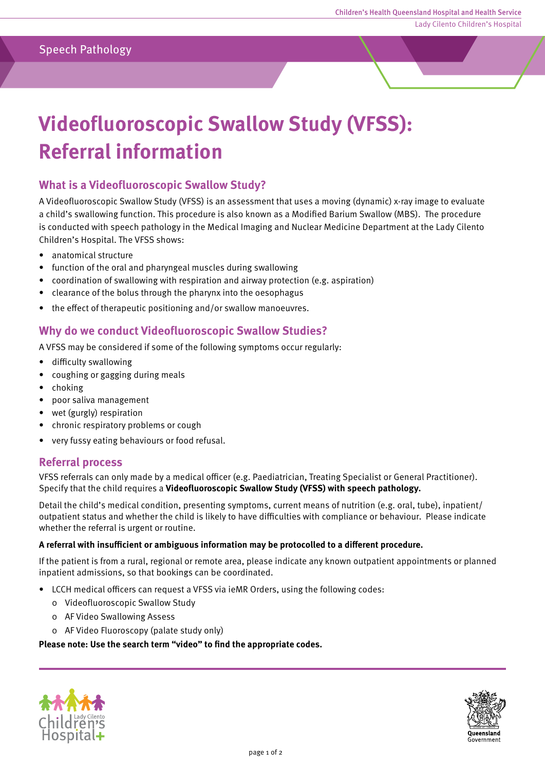# **Videofluoroscopic Swallow Study (VFSS): Referral information**

# **What is a Videofluoroscopic Swallow Study?**

A Videofluoroscopic Swallow Study (VFSS) is an assessment that uses a moving (dynamic) x-ray image to evaluate a child's swallowing function. This procedure is also known as a Modified Barium Swallow (MBS). The procedure is conducted with speech pathology in the Medical Imaging and Nuclear Medicine Department at the Lady Cilento Children's Hospital. The VFSS shows:

- anatomical structure
- function of the oral and pharyngeal muscles during swallowing
- coordination of swallowing with respiration and airway protection (e.g. aspiration)
- clearance of the bolus through the pharynx into the oesophagus
- the effect of therapeutic positioning and/or swallow manoeuvres.

## **Why do we conduct Videofluoroscopic Swallow Studies?**

A VFSS may be considered if some of the following symptoms occur regularly:

- difficulty swallowing
- coughing or gagging during meals
- choking
- poor saliva management
- wet (gurgly) respiration
- chronic respiratory problems or cough
- very fussy eating behaviours or food refusal.

#### **Referral process**

VFSS referrals can only made by a medical officer (e.g. Paediatrician, Treating Specialist or General Practitioner). Specify that the child requires a **Videofluoroscopic Swallow Study (VFSS) with speech pathology.**

Detail the child's medical condition, presenting symptoms, current means of nutrition (e.g. oral, tube), inpatient/ outpatient status and whether the child is likely to have difficulties with compliance or behaviour. Please indicate whether the referral is urgent or routine.

#### **A referral with insufficient or ambiguous information may be protocolled to a different procedure.**

If the patient is from a rural, regional or remote area, please indicate any known outpatient appointments or planned inpatient admissions, so that bookings can be coordinated.

- LCCH medical officers can request a VFSS via ieMR Orders, using the following codes:
	- 0 Videofluoroscopic Swallow Study
	- 0 AF Video Swallowing Assess
	- 0 AF Video Fluoroscopy (palate study only)

#### **Please note: Use the search term "video" to find the appropriate codes.**